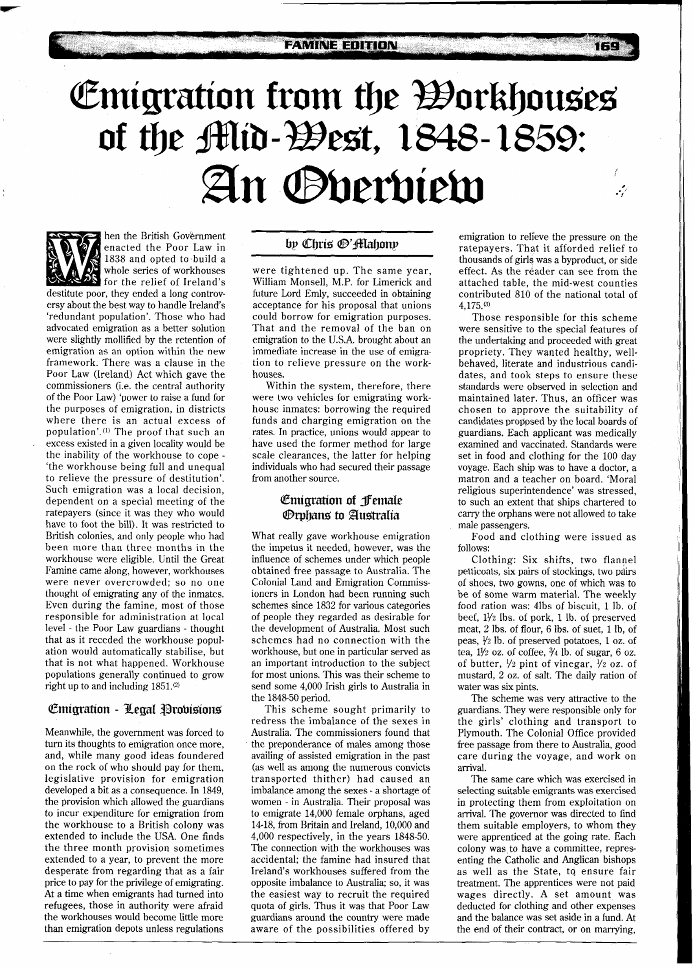# Emigration from the Workhouses<br>of the Mid-West, 1848-1859: An *Overview* يرممه



hen the British Government enacted the Poor Law in 1838 and opted to build a whole series of workhouses for the relief of Ireland's

destitute poor, they ended a long controversy about the best way to handle Ireland's 'redundant population'. Those who had advocated emigration as a better solution were slightly mollified by the retention of emigration as an option within the new framework. There was a clause in the Poor Law (Ireland) Act which gave the commissioners (i.e. the central authority of the Poor Law) 'power to raise a fund for the purposes of emigration, in districts where there is an actual excess of population'.(') The proof that such an excess existed in a given locality would be the inability of the workhouse to cope - 'the workhouse being full and unequal to relieve the pressure of destitution'. Such emigration was a local decision, dependent on a special meeting of the ratepayers (since it was they who would have to foot the bill). It was restricted to British colonies, and only people who had been more than three months in the workhouse were eligible. Until the Great Famine came along, however, workhouses were never overcrowded; so no one thought of emigrating any of the inmates. Even during the famine, most of those responsible for administration at local level - the Poor Law guardians - thought that as it receded the workhouse population would automatically stabilise, but that is not what happened. Workhouse populations generally continued to grow right up to and including  $1851$ .<sup>(2)</sup>

## **Emigration - Legal Probisions**

Meanwhile, the government was forced to turn its thoughts to emigration once more, and, while many good ideas foundered on the rock of who should pay for them, legislative provision for emigration developed a bit as a consequence. In 1849, the provision which allowed the guardians to incur expenditure for emigration from the workhouse to a British colony was extended to include the USA. One finds the three month provision sometimes extended to a year, to prevent the more desperate from regarding that as a fair price to pay for the privilege of emigrating. At a time when emigrants had turned into refugees, those in authority were afraid the workhouses would become little more than emigration depots unless regulations

# by Chris ®'fflahony

were tightened up. The same year, William Monsell, M.P. for Limerick and future Lord Emly, succeeded in obtaining acceptance for his proposal that unions could borrow for emigration purposes. That and the removal of the ban on emigration to the U.S.A. brought about an immediate increase in the use of emigration to relieve pressure on the workhouses.

Within the system, therefore, there were two vehicles for emigrating workhouse inmates: borrowing the required funds and charging emigration on the rates. In practice, unions would appear to have used the former method for large scale clearances, the latter for helping individuals who had secured their passage from another source.

## **Emigration of Jemale Orphans** to Australia

What really gave workhouse emigration the impetus it needed, however, was the influence of schemes under which people obtained free passage to Australia. The Colonial Land and Emigration Commissioners in London had been running such schemes since 1832 for various categories of people they regarded as desirable for the development of Australia. Most such schemes had no connection with the workhouse, but one in particular served as an important introduction to the subject for most unions. This was their scheme to send some 4,000 Irish girls to Australia in the 1848-50 period.

This scheme sought primarily to redress the imbalance of the sexes in Australia. The commissioners found that the preponderance of males among those availing of assisted emigration in the past (as well as among the numerous convicts transported thither) had caused an imbalance among the sexes - a shortage of women - in Australia. Their proposal was to emigrate 14,000 female orphans, aged 14-18, from Britain and Ireland, 10,000 and 4,000 respectively, in the years 1848-50. The connection with the workhouses was accidental; the famine had insured that Ireland's workhouses suffered from the opposite imbalance to Australia; so, it was the easiest way to recruit the required quota of girls. Thus it was that Poor Law guardians around the country were made aware of the possibilities offered by

emigration to relieve the pressure on the ratepayers. That it afforded relief to thousands of girls was a byproduct, or side effect. As the reader can see from the attached table, the mid-west counties contributed 810 of the national total of 4,175.")

**TECT** 

Those responsible for this scheme were sensitive to the special features of the undertaking and proceeded with great propriety. They wanted healthy, wellbehaved, literate and industrious candidates, and took steps to ensure these standards were observed in selection and maintained later. Thus, an officer was chosen to approve the suitability of candidates proposed by the local boards of guardians. Each applicant was medically examined and vaccinated. Standards were set in food and clothing for the 100 day voyage. Each ship was to have a doctor, a matron and a teacher on board. 'Moral religious superintendence' was stressed, to such an extent that ships chartered to carry the orphans were not allowed to take male passengers.

Food and clothing were issued as follows:

Clothing: Six shifts, two flannel petticoats, six pairs of stockings, two pairs of shoes, two gowns, one of which was to be of some warm material. The weekly food ration was: 41bs of biscuit, 1 lb. of beef, **11/2** lbs. of pork, 1 lb. of preserved meat, 2 lbs. of flour, 6 Ibs. of suet, 1 lb, of peas,  $\frac{1}{2}$  lb. of preserved potatoes, 1 oz. of tea,  $1\frac{1}{2}$  oz. of coffee,  $\frac{3}{4}$  lb. of sugar, 6 oz. of butter,  $\frac{1}{2}$  pint of vinegar,  $\frac{1}{2}$  oz. of mustard, 2 oz. of salt. The daily ration of water was six pints.

The scheme was very attractive to the guardians. They were responsible only for the girls' clothing and transport to Plymouth. The Colonial Office provided free passage from there to Australia, good care during the voyage, and work on arrival.

The same care which was exercised in selecting suitable emigrants was exercised in protecting them from exploitation on arrival. The governor was directed to find them suitable employers, to whom they were apprenticed at the going rate. Each colony was to have a committee, representing the Catholic and Anglican bishops as well as the State, to ensure fair treatment. The apprentices were not paid wages directly. A set amount was deducted for clothing and other expenses and the balance was set aside in a fund. At the end of their contract, or on marrying,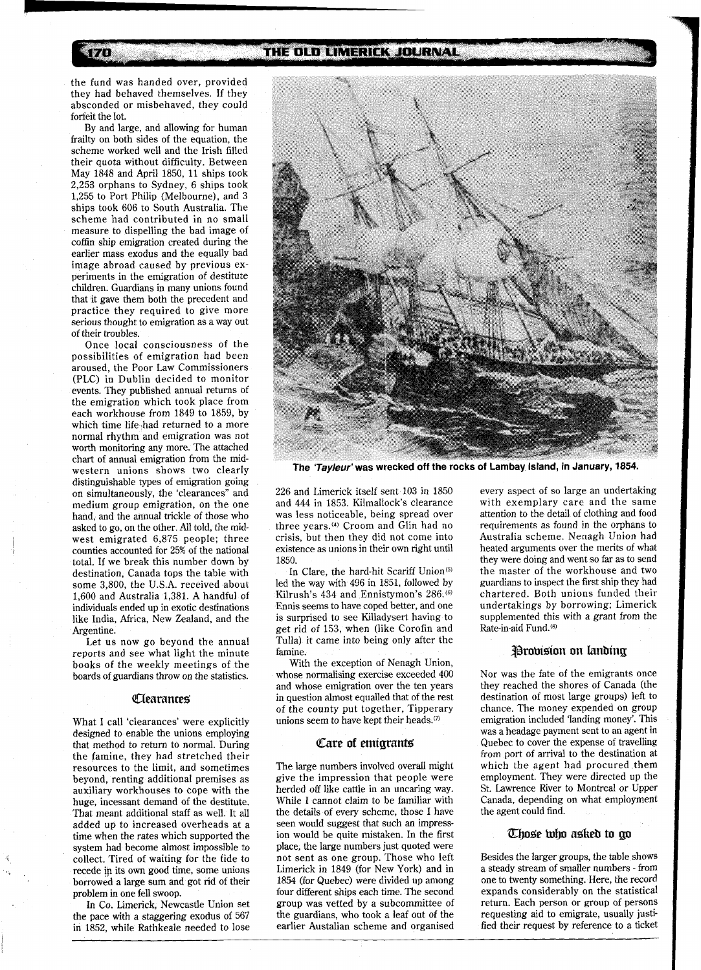THE OLD LIMERICK JOURNAL

the fund was handed over, provided they had behaved themselves. If they absconded or misbehaved, they could forfeit the lot.

170

By and large, and allowing for human frailty on both sides of the equation, the scheme worked well and the Irish filled their quota without difficulty. Between May 1848 and April 1850, 11 ships took 2,253 orphans to Sydney, 6 ships took 1,255 to Port Philip (Melbourne), and 3 ships took 606 to South Australia. The scheme had contributed in no small measure to dispelling the bad image of coffin ship emigration created during the earlier mass exodus and the equally bad image abroad caused by previous experiments in the emigration of destitute children. Guardians in many unions found that it gave them both the precedent and practice they required to give more serious thought to emigration as a way out of their troubles.

Once local consciousness of the possibilities of emigration had been aroused, the Poor Law Commissioners (PLC) in Dublin decided to monitor events. They published annual returns of the emigration which took place from each workhouse from 1849 to 1859, by which time life had returned to a more normal rhythm and emigration was not worth monitoring any more. The attached chart of annual emigration from the midwestern unions shows two clearly distinguishable types of emigration going on simultaneously, the 'clearances" and medium group emigration, on the one hand, and the annual trickle of those who asked to go, on the other. All told, the midwest emigrated 6,875 people; three counties accounted for 25% of the national total. If we break this number down by destination, Canada tops the table with some 3,800, the U.S.A. received about 1,600 and Australia 1,381. A handful of individuals ended up in exotic destinations like India, Africa, New Zealand, and the Argentine.

Let us now go beyond the annual reports and see what light the minute books of the weekly meetings of the boards of guardians throw on the statistics.

#### *Clearances*

What I call 'clearances' were explicitly designed to enable the unions employing that method to return to normal. During the famine, they had stretched their resources to the limit, and sometimes beyond, renting additional premises as auxiliary workhouses to cope with the huge, incessant demand of the destitute. That meant additional staff as well. It all added up to increased overheads at a time when the rates which supported the<br>system had become almost impossible to collect. Tired of waiting for the tide to recede **ip** its own good time, some unions borrowed a large sum and got rid of their problem in one fell swoop.

In Co. Limerick, Newcastle Union set the pace with a staggering exodus of 567 in 1852, while Rathkeale needed to lose



**The 'Tayleur'was wrecked off the rocks of Lambay Island, in January, 1854.** 

226 and Limerick itself sent 103 in 1850 and 444 in 1853. Kilmallock's clearance was less noticeable, being spread over three years.<sup>(4)</sup> Croom and Glin had no crisis, but then they did not come into existence as unions in their own right until 1850.

In Clare, the hard-hit Scariff Union<sup>(5)</sup> led the way with 496 in 1851, followed by Kilrush's 434 and Ennistymon's 286.<sup>(6)</sup> Ennis seems to have coped better, and one is surprised to see Killadysert having to get rid of 153, when (like Corofin and Tulla) it came into being only after the famine.

With the exception of Nenagh Union, whose normalising exercise exceeded 400 and whose emigration over the ten years in question almost equalled that of the rest of the county put together, Tipperary unions seem to have kept their heads.<sup>(7)</sup>

#### Care of emigrants

The large numbers involved overall might give the impression that people were herded off like cattle in an uncaring way. While I cannot claim to be familiar with the details of every scheme, those I have seen would suggest that such an impression would be quite mistaken. In the first place, the large numbers just quoted were not sent as one group. Those who left Limerick in 1849 (for New York) and in 1854 (for Quebec) were divided up among four different ships each time. The second group was vetted by a subcommittee of the guardians, who took a leaf out of the earlier Austalian scheme and organised

every aspect of so large an undertaking with exemplary care and the same attention to the detail of clothing and food requirements as found in the orphans to Australia scheme. Nenagh Union had heated arguments over the merits of what they were doing and went so far as to send the master of the workhouse and two guardians to inspect the first ship they had chartered. Both unions funded their undertakings by borrowing; Limerick supplemented this with a grant from the Rate-in-aid Fund.<sup>(6)</sup>

### **Probision on landing**

Nor was the fate of the emigrants once they reached the shores of Canada (the destination of most large groups) left to chance. The money expended on group emigration included 'landing money'. This was a headage payment sent to an agent in Quebec to cover the expense of travelling from port of arrival to the destination at which the agent had procured them employment. They were directed up the St. Lawrence River to Montreal or Upper Canada, depending on what employment the agent could find.

#### **Those who asked to go**

Besides the larger groups, the table shows a steady stream of smaller numbers - from one to twenty something. Here, the record expands considerably on the statistical return. Each person or group of persons requesting aid to emigrate, usually justified their request by reference to a ticket